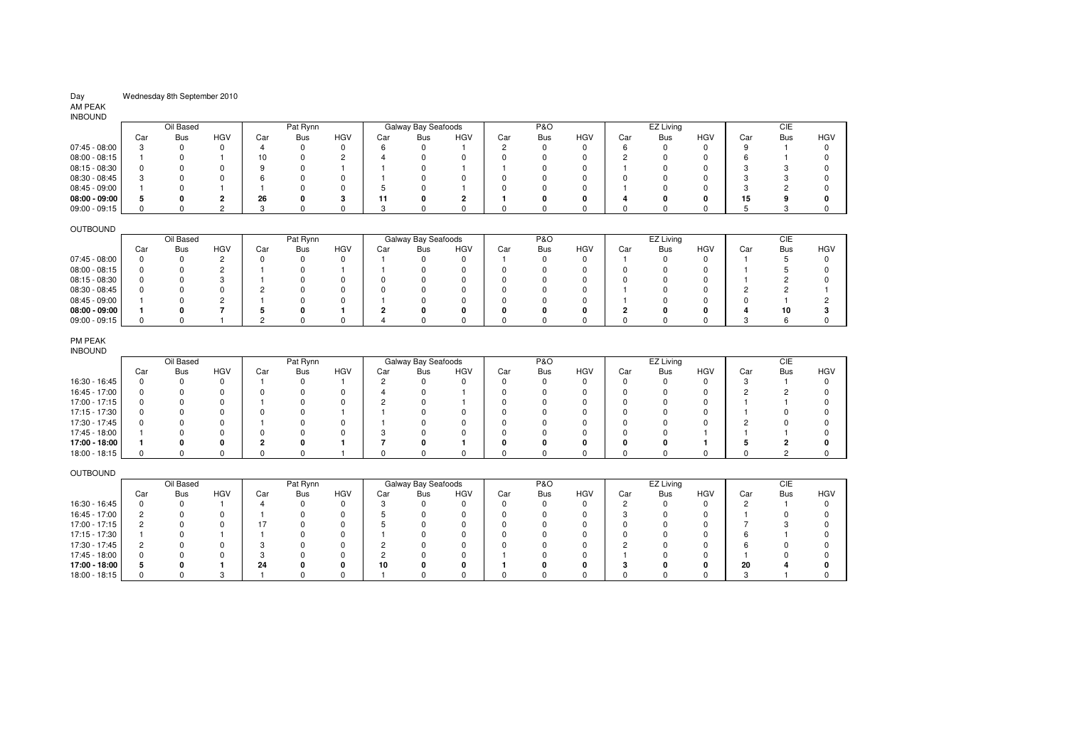# Wednesday 8th September 2010

#### AM PEAK INBOUND

| <b>INDUUND</b>  |     |           |     |     |            |            |     |                     |            |     |                |              |     |           |            |     |     |            |
|-----------------|-----|-----------|-----|-----|------------|------------|-----|---------------------|------------|-----|----------------|--------------|-----|-----------|------------|-----|-----|------------|
|                 |     | Oil Based |     |     | Pat Rynn   |            |     | Galway Bay Seafoods |            |     | <b>P&amp;O</b> |              |     | EZ Living |            |     | CIE |            |
|                 | Car | Bus       | HGV | Car | <b>Bus</b> | <b>HGV</b> | Car | Bus                 | <b>HGV</b> | Car | <b>Bus</b>     | HGV          | Car | Bus       | <b>HGV</b> | Car | Bus | <b>HGV</b> |
| $07:45 - 08:00$ |     |           |     |     |            |            |     |                     |            |     |                | 0            |     |           |            |     |     |            |
| $08:00 - 08:15$ |     |           |     |     |            |            |     |                     |            |     |                |              |     |           |            |     |     |            |
| $08:15 - 08:30$ |     |           |     | 9   |            |            |     |                     |            |     |                | $\Omega$     |     |           |            |     |     |            |
| 08:30 - 08:45   |     |           |     |     |            |            |     |                     |            |     |                |              |     |           |            |     |     |            |
| 08:45 - 09:00   |     |           |     |     |            |            |     |                     |            |     |                | <sup>n</sup> |     |           |            |     |     |            |
| $08:00 - 09:00$ |     |           |     | 26  |            |            |     |                     |            |     |                | 0            |     |           |            | 15  |     |            |
| $09:00 - 09:15$ |     |           |     |     |            |            |     |                     |            |     |                |              |     |           |            |     |     |            |

### OUTBOUND

| 00100010        |     |           |            |     |            |     |     |                     |            |     |                |            |     |           |            |     |     |            |
|-----------------|-----|-----------|------------|-----|------------|-----|-----|---------------------|------------|-----|----------------|------------|-----|-----------|------------|-----|-----|------------|
|                 |     | Oil Based |            |     | Pat Rynn   |     |     | Galway Bay Seafoods |            |     | <b>P&amp;O</b> |            |     | EZ Living |            |     | CIE |            |
|                 | Car | Bus       | <b>HGV</b> | Car | <b>Bus</b> | HGV | Car | <b>Bus</b>          | <b>HGV</b> | Car | Bus            | <b>HGV</b> | Car | Bus       | <b>HGV</b> | Car | Bus | <b>HGV</b> |
| 07:45 - 08:00   |     |           |            |     |            |     |     |                     |            |     |                |            |     |           |            |     |     |            |
| 08:00 - 08:15   |     |           |            |     |            |     |     |                     |            |     |                |            |     |           |            |     |     |            |
| $08:15 - 08:30$ |     |           |            |     |            |     |     |                     |            |     |                |            |     |           |            |     |     |            |
| 08:30 - 08:45   |     |           |            |     |            |     |     |                     |            |     |                |            |     |           |            |     |     |            |
| 08:45 - 09:00   |     |           |            |     |            |     |     |                     |            |     |                |            |     |           |            |     |     |            |
| $08:00 - 09:00$ |     |           |            |     |            |     |     |                     |            |     |                |            |     |           |            |     |     |            |
| $09:00 - 09:15$ |     |           |            |     |            |     |     |                     |            |     |                |            |     |           |            |     |     |            |

#### PM PEAK

| INBOUND |
|---------|
|---------|

| .             |     |           |            |     |          |            |     |                     |            |     |                |            |     |            |            |     |            |            |
|---------------|-----|-----------|------------|-----|----------|------------|-----|---------------------|------------|-----|----------------|------------|-----|------------|------------|-----|------------|------------|
|               |     | Oil Based |            |     | Pat Rynn |            |     | Galway Bay Seafoods |            |     | <b>P&amp;O</b> |            |     | EZ Living  |            |     | CIE        |            |
|               | Car | Bus       | <b>HGV</b> | Car | Bus      | <b>HGV</b> | Car | Bus                 | <b>HGV</b> | Car | <b>Bus</b>     | <b>HGV</b> | Car | <b>Bus</b> | <b>HGV</b> | Car | <b>Bus</b> | <b>HGV</b> |
| 16:30 - 16:45 |     |           |            |     |          |            |     |                     |            |     |                |            |     |            |            |     |            |            |
| 16:45 - 17:00 |     |           |            |     |          |            |     |                     |            |     |                |            |     |            |            |     |            |            |
| 17:00 - 17:15 |     |           |            |     |          |            |     |                     |            |     |                |            |     |            |            |     |            |            |
| 17:15 - 17:30 |     |           |            |     |          |            |     |                     |            |     |                |            |     |            |            |     |            |            |
| 17:30 - 17:45 |     |           |            |     |          |            |     |                     |            |     |                |            |     |            |            |     |            |            |
| 17:45 - 18:00 |     |           |            |     |          | n          |     |                     |            |     |                |            |     |            |            |     |            |            |
| 17:00 - 18:00 |     |           |            |     |          |            |     |                     |            |     |                |            |     |            |            |     |            |            |
| 18:00 - 18:15 |     |           |            |     |          |            |     |                     |            |     |                |            |     |            |            |     |            |            |

# OUTBOUND

|               |     | Oil Based |            |     | Pat Rynn |            |     | Galway Bay Seafoods |            |     | <b>P&amp;O</b> |            |     | EZ Living |            |     | CIE |     |
|---------------|-----|-----------|------------|-----|----------|------------|-----|---------------------|------------|-----|----------------|------------|-----|-----------|------------|-----|-----|-----|
|               | Car | Bus       | <b>HGV</b> | Car | Bus      | <b>HGV</b> | Car | Bus                 | <b>HGV</b> | Car | Bus            | <b>HGV</b> | Car | Bus       | <b>HGV</b> | Car | Bus | HGV |
| 16:30 - 16:45 |     |           |            |     |          |            |     |                     |            |     |                | $^{(1)}$   |     |           |            |     |     |     |
| 16:45 - 17:00 |     |           |            |     |          |            |     |                     |            |     |                |            |     |           |            |     |     |     |
| 17:00 - 17:15 |     |           |            |     |          |            |     |                     |            |     |                |            |     |           |            |     |     |     |
| 17:15 - 17:30 |     |           |            |     |          |            |     |                     |            |     |                |            |     |           |            |     |     |     |
| 17:30 - 17:45 |     |           |            |     |          |            |     |                     |            |     |                |            |     |           |            |     |     |     |
| 17:45 - 18:00 |     |           |            |     |          |            |     |                     |            |     |                |            |     |           |            |     |     |     |
| 17:00 - 18:00 |     |           |            | 24  |          |            | 10  |                     |            |     |                | n          |     |           |            | 20  |     |     |
| 18:00 - 18:15 |     |           |            |     |          |            |     |                     |            |     |                |            |     |           |            |     |     |     |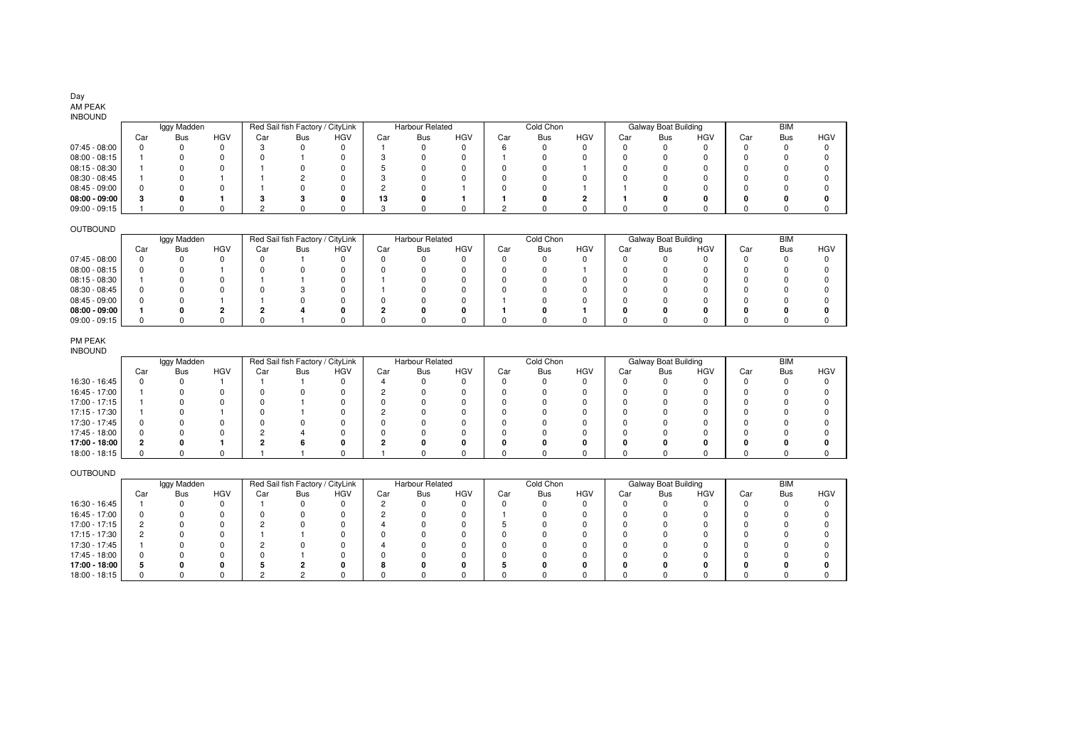# Day AM PEAK

# INBOUND

|                 |     |     |             |     |            |                                  |     |            |                        |            |            |           |     |            |                             | <b>BIM</b> |            |
|-----------------|-----|-----|-------------|-----|------------|----------------------------------|-----|------------|------------------------|------------|------------|-----------|-----|------------|-----------------------------|------------|------------|
| Car             | Bus | HGV | Car         | Bus | <b>HGV</b> | Car                              | Bus | <b>HGV</b> | Car                    | <b>Bus</b> | <b>HGV</b> | Car       | Bus | <b>HGV</b> | Car                         | Bus        | <b>HGV</b> |
|                 |     |     |             |     | 0          |                                  |     |            |                        |            |            |           |     |            |                             |            |            |
|                 |     |     |             |     |            |                                  |     |            |                        |            |            |           |     |            |                             |            |            |
|                 |     |     |             |     |            |                                  |     |            |                        |            |            |           |     |            |                             |            |            |
|                 |     |     |             |     |            |                                  |     |            |                        |            |            |           |     |            |                             |            |            |
|                 |     |     |             |     |            |                                  |     |            |                        |            |            |           |     |            |                             |            |            |
| $08:00 - 09:00$ |     |     |             |     |            | 13                               |     |            |                        |            |            |           |     |            |                             |            | o          |
|                 |     |     |             |     |            |                                  |     |            |                        |            |            |           |     |            |                             |            |            |
|                 |     |     | Iggy Madden |     |            | Red Sail fish Factory / CityLink |     |            | <b>Harbour Related</b> |            |            | Cold Chon |     |            | <b>Galway Boat Building</b> |            |            |

## OUTBOUND

| <u> vuivuitu</u> |     |             |            |     |                                  |            |     |                 |            |     |            |            |     |                      |            |     |            |            |
|------------------|-----|-------------|------------|-----|----------------------------------|------------|-----|-----------------|------------|-----|------------|------------|-----|----------------------|------------|-----|------------|------------|
|                  |     | Iggy Madden |            |     | Red Sail fish Factory / CityLink |            |     | Harbour Related |            |     | Cold Chon  |            |     | Galway Boat Building |            |     | <b>BIM</b> |            |
|                  | Car | Bus         | <b>HGV</b> | Car | Bus                              | <b>HGV</b> | Car | Bus             | <b>HGV</b> | Car | <b>Bus</b> | <b>HGV</b> | Car | Bus                  | <b>HGV</b> | Car | <b>Bus</b> | <b>HGV</b> |
| 07:45 - 08:00    |     |             |            |     |                                  |            |     |                 |            |     |            |            |     |                      |            |     |            |            |
| 08:00 - 08:15    |     |             |            |     |                                  |            |     |                 |            |     |            |            |     |                      |            |     |            |            |
| 08:15 - 08:30    |     |             |            |     |                                  |            |     |                 |            |     |            |            |     |                      |            |     |            |            |
| 08:30 - 08:45    |     |             |            |     |                                  |            |     |                 |            |     |            |            |     |                      |            |     |            |            |
| 08:45 - 09:00    |     |             |            |     |                                  |            |     |                 |            |     |            |            |     |                      |            |     |            |            |
| $08:00 - 09:00$  |     |             |            |     |                                  |            |     |                 | n          |     |            |            |     |                      |            |     |            |            |
| 09:00 - 09:15    |     |             |            |     |                                  |            |     |                 |            |     |            |            |     |                      |            |     |            |            |

### PM PEAK

| <b>INBOUND</b> |
|----------------|
|----------------|

| .             |     |             |            |     |                                  |     |     |                 |            |     |           |            |     |                             |            |     |            |            |
|---------------|-----|-------------|------------|-----|----------------------------------|-----|-----|-----------------|------------|-----|-----------|------------|-----|-----------------------------|------------|-----|------------|------------|
|               |     | Iggy Madden |            |     | Red Sail fish Factory / CityLink |     |     | Harbour Related |            |     | Cold Chon |            |     | <b>Galway Boat Building</b> |            |     | <b>BIM</b> |            |
|               | Car | <b>Bus</b>  | <b>HGV</b> | Car | Bus                              | HGV | Car | <b>Bus</b>      | <b>HGV</b> | Car | Bus       | <b>HGV</b> | Car | <b>Bus</b>                  | <b>HGV</b> | Car | <b>Bus</b> | <b>HGV</b> |
| 16:30 - 16:45 |     |             |            |     |                                  |     |     |                 |            |     |           |            |     |                             |            |     |            |            |
| 16:45 - 17:00 |     |             |            |     |                                  |     |     |                 |            |     |           |            |     |                             |            |     |            |            |
| 17:00 - 17:15 |     |             |            |     |                                  |     |     |                 |            |     |           |            |     |                             |            |     |            |            |
| 17:15 - 17:30 |     |             |            |     |                                  |     |     |                 |            |     |           |            |     |                             |            |     |            |            |
| 17:30 - 17:45 |     |             |            |     |                                  |     |     |                 |            |     |           |            |     |                             |            |     |            |            |
| 17:45 - 18:00 |     |             |            |     |                                  |     |     |                 |            |     |           |            |     |                             |            |     |            |            |
| 17:00 - 18:00 |     |             |            |     |                                  |     |     |                 |            |     |           |            |     |                             |            |     |            |            |
| 18:00 - 18:15 |     |             |            |     |                                  |     |     |                 |            |     |           |            |     |                             |            |     |            |            |

# OUTBOUND

|               |     | Iggy Madden |            |     | Red Sail fish Factory / CityLink |     |     | <b>Harbour Related</b> |            |     | Cold Chon |            |     | Galway Boat Building |            |     | BIM |            |
|---------------|-----|-------------|------------|-----|----------------------------------|-----|-----|------------------------|------------|-----|-----------|------------|-----|----------------------|------------|-----|-----|------------|
|               | Car | Bus         | <b>HGV</b> | Car | Bus                              | HGV | Car | Bus                    | <b>HGV</b> | Car | Bus       | <b>HGV</b> | Car | <b>Bus</b>           | <b>HGV</b> | Car | Bus | <b>HGV</b> |
| 16:30 - 16:45 |     |             |            |     |                                  |     |     |                        |            |     |           |            |     |                      |            |     |     |            |
| 16:45 - 17:00 |     |             |            |     |                                  |     |     |                        |            |     |           |            |     |                      |            |     |     |            |
| 17:00 - 17:15 |     |             |            |     |                                  |     |     |                        |            |     |           |            |     |                      |            |     |     |            |
| 17:15 - 17:30 |     |             |            |     |                                  |     |     |                        |            |     |           |            |     |                      |            |     |     |            |
| 17:30 - 17:45 |     |             |            |     |                                  |     |     |                        |            |     |           |            |     |                      |            |     |     |            |
| 17:45 - 18:00 |     |             |            |     |                                  |     |     |                        |            |     |           |            |     |                      |            |     |     |            |
| 17:00 - 18:00 |     |             |            |     |                                  |     |     |                        |            |     |           |            |     |                      |            |     |     |            |
| 18:00 - 18:15 |     |             |            |     |                                  |     |     |                        |            |     |           |            |     |                      |            |     |     |            |